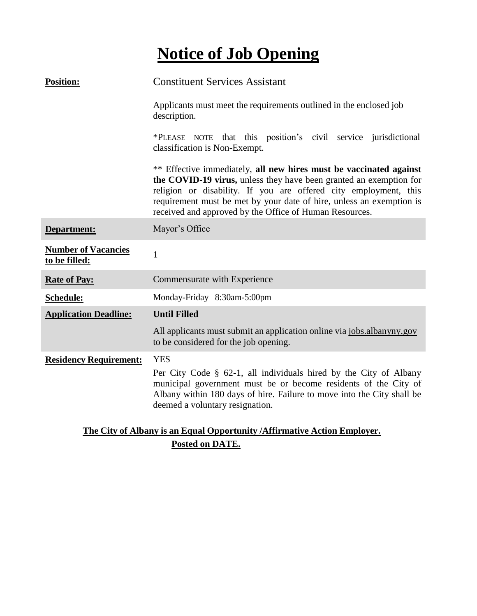# **Notice of Job Opening**

| <b>Position:</b>                            | <b>Constituent Services Assistant</b>                                                                                                                                                                                                                                                                                                           |
|---------------------------------------------|-------------------------------------------------------------------------------------------------------------------------------------------------------------------------------------------------------------------------------------------------------------------------------------------------------------------------------------------------|
|                                             | Applicants must meet the requirements outlined in the enclosed job<br>description.                                                                                                                                                                                                                                                              |
|                                             | *PLEASE NOTE that this position's civil service jurisdictional<br>classification is Non-Exempt.                                                                                                                                                                                                                                                 |
|                                             | ** Effective immediately, all new hires must be vaccinated against<br>the COVID-19 virus, unless they have been granted an exemption for<br>religion or disability. If you are offered city employment, this<br>requirement must be met by your date of hire, unless an exemption is<br>received and approved by the Office of Human Resources. |
| Department:                                 | Mayor's Office                                                                                                                                                                                                                                                                                                                                  |
| <b>Number of Vacancies</b><br>to be filled: | $\mathbf{1}$                                                                                                                                                                                                                                                                                                                                    |
| <b>Rate of Pay:</b>                         | Commensurate with Experience                                                                                                                                                                                                                                                                                                                    |
| Schedule:                                   | Monday-Friday 8:30am-5:00pm                                                                                                                                                                                                                                                                                                                     |
| <b>Application Deadline:</b>                | <b>Until Filled</b>                                                                                                                                                                                                                                                                                                                             |
|                                             | All applicants must submit an application online via jobs.albanyny.gov<br>to be considered for the job opening.                                                                                                                                                                                                                                 |
| <b>Residency Requirement:</b>               | <b>YES</b><br>Per City Code $\S$ 62-1, all individuals hired by the City of Albany<br>municipal government must be or become residents of the City of<br>Albany within 180 days of hire. Failure to move into the City shall be<br>deemed a voluntary resignation.                                                                              |

## **The City of Albany is an Equal Opportunity /Affirmative Action Employer. Posted on DATE.**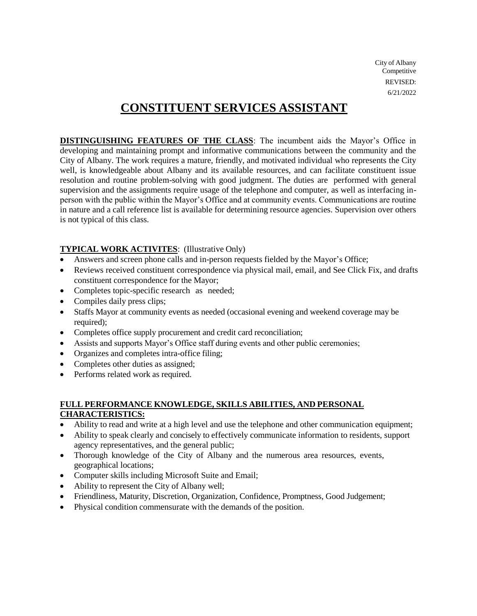City of Albany **Competitive** REVISED: 6/21/2022

# **CONSTITUENT SERVICES ASSISTANT**

**DISTINGUISHING FEATURES OF THE CLASS**: The incumbent aids the Mayor's Office in developing and maintaining prompt and informative communications between the community and the City of Albany. The work requires a mature, friendly, and motivated individual who represents the City well, is knowledgeable about Albany and its available resources, and can facilitate constituent issue resolution and routine problem-solving with good judgment. The duties are performed with general supervision and the assignments require usage of the telephone and computer, as well as interfacing inperson with the public within the Mayor's Office and at community events. Communications are routine in nature and a call reference list is available for determining resource agencies. Supervision over others is not typical of this class.

#### **TYPICAL WORK ACTIVITES**: (Illustrative Only)

- Answers and screen phone calls and in-person requests fielded by the Mayor's Office;
- Reviews received constituent correspondence via physical mail, email, and See Click Fix, and drafts constituent correspondence for the Mayor;
- Completes topic-specific research as needed;
- Compiles daily press clips;
- Staffs Mayor at community events as needed (occasional evening and weekend coverage may be required):
- Completes office supply procurement and credit card reconciliation;
- Assists and supports Mayor's Office staff during events and other public ceremonies;
- Organizes and completes intra-office filing;
- Completes other duties as assigned;
- Performs related work as required.

#### **FULL PERFORMANCE KNOWLEDGE, SKILLS ABILITIES, AND PERSONAL CHARACTERISTICS:**

- Ability to read and write at a high level and use the telephone and other communication equipment;
- Ability to speak clearly and concisely to effectively communicate information to residents, support agency representatives, and the general public;
- Thorough knowledge of the City of Albany and the numerous area resources, events, geographical locations;
- Computer skills including Microsoft Suite and Email;
- Ability to represent the City of Albany well;
- Friendliness, Maturity, Discretion, Organization, Confidence, Promptness, Good Judgement;
- Physical condition commensurate with the demands of the position.